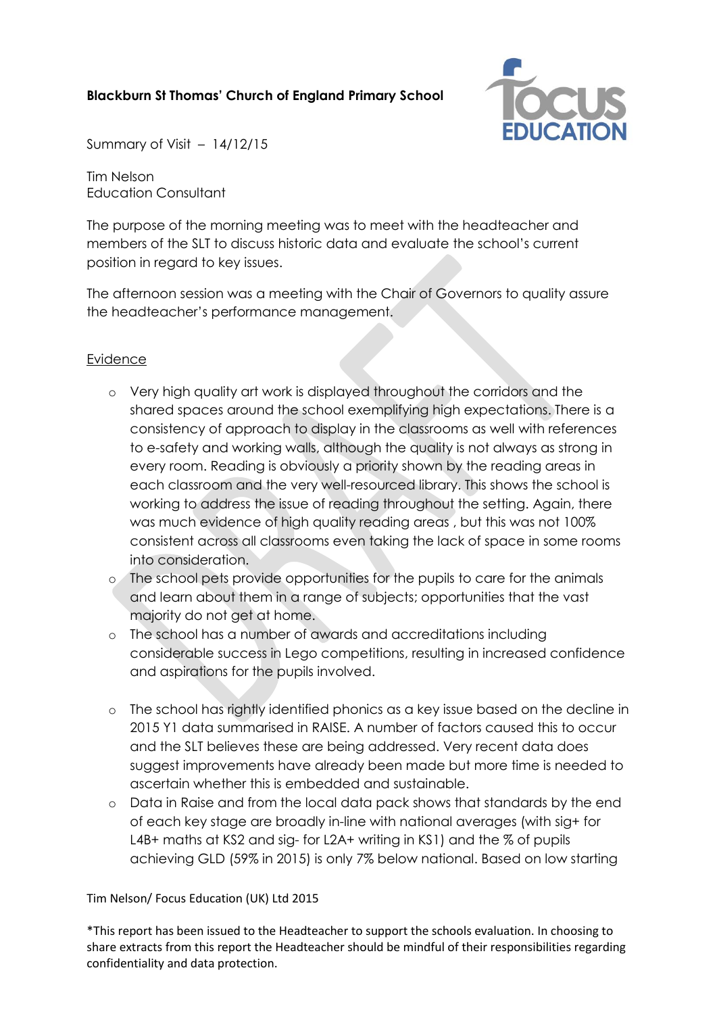# **Blackburn St Thomas' Church of England Primary School**



Summary of Visit – 14/12/15

Tim Nelson Education Consultant

The purpose of the morning meeting was to meet with the headteacher and members of the SLT to discuss historic data and evaluate the school's current position in regard to key issues.

The afternoon session was a meeting with the Chair of Governors to quality assure the headteacher's performance management.

### Evidence

- o Very high quality art work is displayed throughout the corridors and the shared spaces around the school exemplifying high expectations. There is a consistency of approach to display in the classrooms as well with references to e-safety and working walls, although the quality is not always as strong in every room. Reading is obviously a priority shown by the reading areas in each classroom and the very well-resourced library. This shows the school is working to address the issue of reading throughout the setting. Again, there was much evidence of high quality reading areas , but this was not 100% consistent across all classrooms even taking the lack of space in some rooms into consideration.
- o The school pets provide opportunities for the pupils to care for the animals and learn about them in a range of subjects; opportunities that the vast majority do not get at home.
- o The school has a number of awards and accreditations including considerable success in Lego competitions, resulting in increased confidence and aspirations for the pupils involved.
- o The school has rightly identified phonics as a key issue based on the decline in 2015 Y1 data summarised in RAISE. A number of factors caused this to occur and the SLT believes these are being addressed. Very recent data does suggest improvements have already been made but more time is needed to ascertain whether this is embedded and sustainable.
- o Data in Raise and from the local data pack shows that standards by the end of each key stage are broadly in-line with national averages (with sig+ for L4B+ maths at KS2 and sig- for L2A+ writing in KS1) and the % of pupils achieving GLD (59% in 2015) is only 7% below national. Based on low starting

### Tim Nelson/ Focus Education (UK) Ltd 2015

\*This report has been issued to the Headteacher to support the schools evaluation. In choosing to share extracts from this report the Headteacher should be mindful of their responsibilities regarding confidentiality and data protection.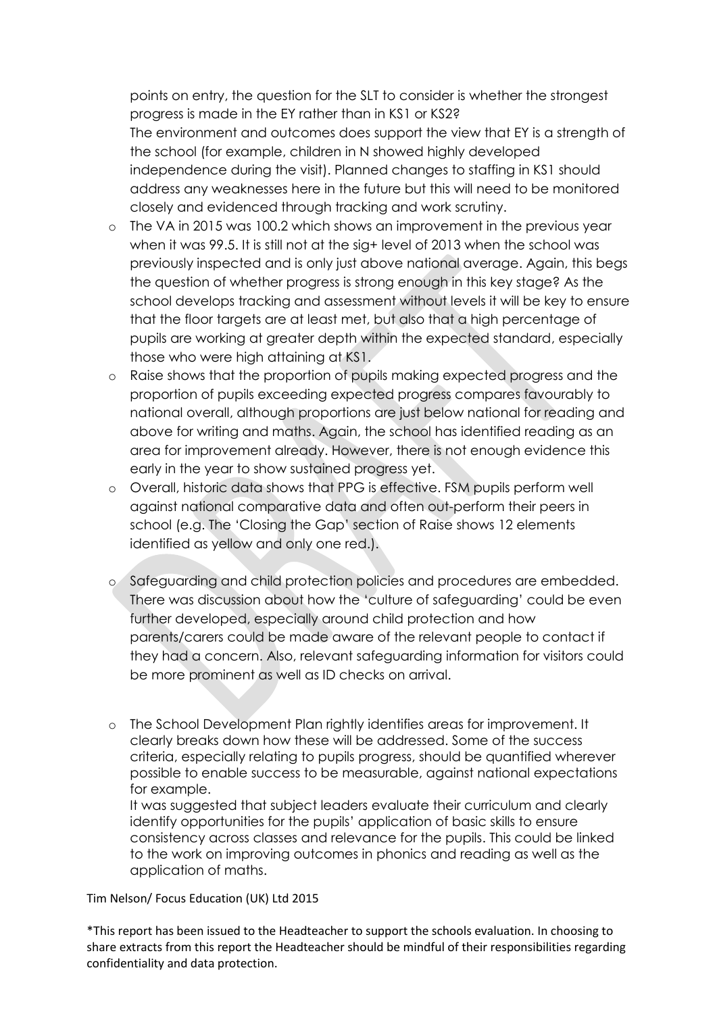points on entry, the question for the SLT to consider is whether the strongest progress is made in the EY rather than in KS1 or KS2? The environment and outcomes does support the view that EY is a strength of the school (for example, children in N showed highly developed independence during the visit). Planned changes to staffing in KS1 should address any weaknesses here in the future but this will need to be monitored closely and evidenced through tracking and work scrutiny.

- o The VA in 2015 was 100.2 which shows an improvement in the previous year when it was 99.5. It is still not at the sig+ level of 2013 when the school was previously inspected and is only just above national average. Again, this begs the question of whether progress is strong enough in this key stage? As the school develops tracking and assessment without levels it will be key to ensure that the floor targets are at least met, but also that a high percentage of pupils are working at greater depth within the expected standard, especially those who were high attaining at KS1.
- o Raise shows that the proportion of pupils making expected progress and the proportion of pupils exceeding expected progress compares favourably to national overall, although proportions are just below national for reading and above for writing and maths. Again, the school has identified reading as an area for improvement already. However, there is not enough evidence this early in the year to show sustained progress yet.
- o Overall, historic data shows that PPG is effective. FSM pupils perform well against national comparative data and often out-perform their peers in school (e.g. The 'Closing the Gap' section of Raise shows 12 elements identified as yellow and only one red.).
- o Safeguarding and child protection policies and procedures are embedded. There was discussion about how the 'culture of safeguarding' could be even further developed, especially around child protection and how parents/carers could be made aware of the relevant people to contact if they had a concern. Also, relevant safeguarding information for visitors could be more prominent as well as ID checks on arrival.
- o The School Development Plan rightly identifies areas for improvement. It clearly breaks down how these will be addressed. Some of the success criteria, especially relating to pupils progress, should be quantified wherever possible to enable success to be measurable, against national expectations for example.

It was suggested that subject leaders evaluate their curriculum and clearly identify opportunities for the pupils' application of basic skills to ensure consistency across classes and relevance for the pupils. This could be linked to the work on improving outcomes in phonics and reading as well as the application of maths.

Tim Nelson/ Focus Education (UK) Ltd 2015

\*This report has been issued to the Headteacher to support the schools evaluation. In choosing to share extracts from this report the Headteacher should be mindful of their responsibilities regarding confidentiality and data protection.